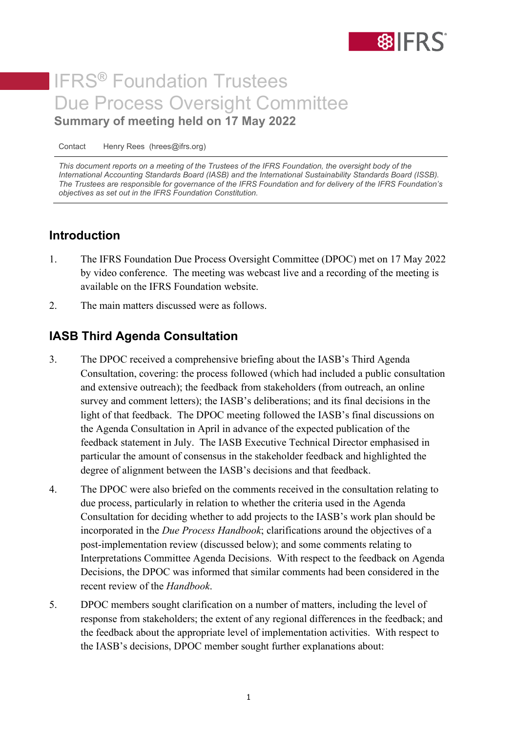

# IFRS**®** Foundation Trustees Due Process Oversight Committee **Summary of meeting held on 17 May 2022**

Contact Henry Rees (hrees@ifrs.org)

*This document reports on a meeting of the Trustees of the IFRS Foundation, the oversight body of the International Accounting Standards Board (IASB) and the International Sustainability Standards Board (ISSB). The Trustees are responsible for governance of the IFRS Foundation and for delivery of the IFRS Foundation's objectives as set out in the IFRS Foundation Constitution.*

#### **Introduction**

- 1. The IFRS Foundation Due Process Oversight Committee (DPOC) met on 17 May 2022 by video conference. The meeting was webcast live and a recording of the meeting is available on the IFRS Foundation website.
- 2. The main matters discussed were as follows.

### **IASB Third Agenda Consultation**

- 3. The DPOC received a comprehensive briefing about the IASB's Third Agenda Consultation, covering: the process followed (which had included a public consultation and extensive outreach); the feedback from stakeholders (from outreach, an online survey and comment letters); the IASB's deliberations; and its final decisions in the light of that feedback. The DPOC meeting followed the IASB's final discussions on the Agenda Consultation in April in advance of the expected publication of the feedback statement in July. The IASB Executive Technical Director emphasised in particular the amount of consensus in the stakeholder feedback and highlighted the degree of alignment between the IASB's decisions and that feedback.
- 4. The DPOC were also briefed on the comments received in the consultation relating to due process, particularly in relation to whether the criteria used in the Agenda Consultation for deciding whether to add projects to the IASB's work plan should be incorporated in the *Due Process Handbook*; clarifications around the objectives of a post-implementation review (discussed below); and some comments relating to Interpretations Committee Agenda Decisions. With respect to the feedback on Agenda Decisions, the DPOC was informed that similar comments had been considered in the recent review of the *Handbook*.
- 5. DPOC members sought clarification on a number of matters, including the level of response from stakeholders; the extent of any regional differences in the feedback; and the feedback about the appropriate level of implementation activities. With respect to the IASB's decisions, DPOC member sought further explanations about: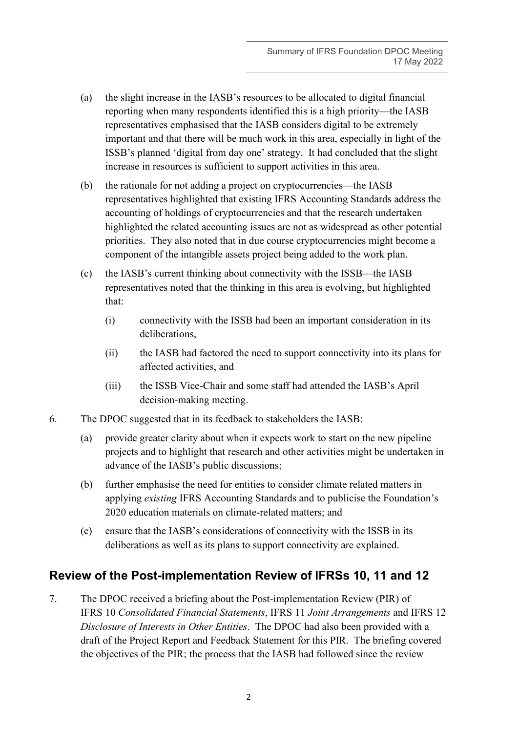- (a) the slight increase in the IASB's resources to be allocated to digital financial reporting when many respondents identified this is a high priority—the IASB representatives emphasised that the IASB considers digital to be extremely important and that there will be much work in this area, especially in light of the ISSB's planned 'digital from day one' strategy. It had concluded that the slight increase in resources is sufficient to support activities in this area.
- (b) the rationale for not adding a project on cryptocurrencies—the IASB representatives highlighted that existing IFRS Accounting Standards address the accounting of holdings of cryptocurrencies and that the research undertaken highlighted the related accounting issues are not as widespread as other potential priorities. They also noted that in due course cryptocurrencies might become a component of the intangible assets project being added to the work plan.
- (c) the IASB's current thinking about connectivity with the ISSB—the IASB representatives noted that the thinking in this area is evolving, but highlighted that:
	- (i) connectivity with the ISSB had been an important consideration in its deliberations,
	- (ii) the IASB had factored the need to support connectivity into its plans for affected activities, and
	- (iii) the ISSB Vice-Chair and some staff had attended the IASB's April decision-making meeting.
- 6. The DPOC suggested that in its feedback to stakeholders the IASB:
	- (a) provide greater clarity about when it expects work to start on the new pipeline projects and to highlight that research and other activities might be undertaken in advance of the IASB's public discussions;
	- (b) further emphasise the need for entities to consider climate related matters in applying *existing* IFRS Accounting Standards and to publicise the Foundation's 2020 education materials on climate-related matters; and
	- (c) ensure that the IASB's considerations of connectivity with the ISSB in its deliberations as well as its plans to support connectivity are explained.

## **Review of the Post-implementation Review of IFRSs 10, 11 and 12**

7. The DPOC received a briefing about the Post-implementation Review (PIR) of IFRS 10 *Consolidated Financial Statements*, IFRS 11 *Joint Arrangements* and IFRS 12 *Disclosure of Interests in Other Entities*. The DPOC had also been provided with a draft of the Project Report and Feedback Statement for this PIR. The briefing covered the objectives of the PIR; the process that the IASB had followed since the review